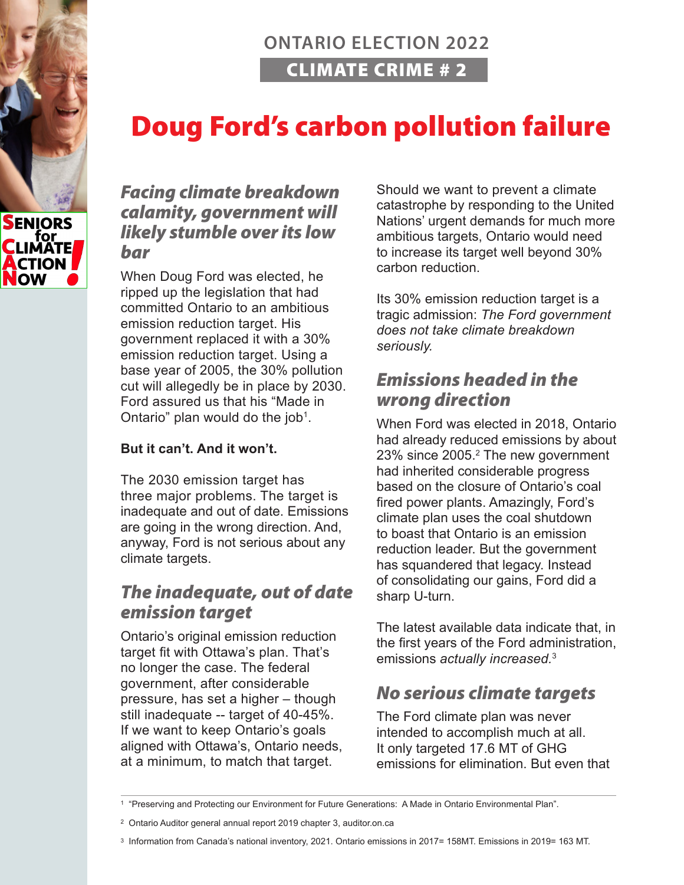## **ONTARIO ELECTION 2022** CLIMATE CRIME # 2

# Doug Ford's carbon pollution failure

### *Facing climate breakdown calamity, government will likely stumble over its low bar*

When Doug Ford was elected, he ripped up the legislation that had committed Ontario to an ambitious emission reduction target. His government replaced it with a 30% emission reduction target. Using a base year of 2005, the 30% pollution cut will allegedly be in place by 2030. Ford assured us that his "Made in Ontario" plan would do the job<sup>1</sup>.

#### **But it can't. And it won't.**

The 2030 emission target has three major problems. The target is inadequate and out of date. Emissions are going in the wrong direction. And, anyway, Ford is not serious about any climate targets.

## *The inadequate, out of date emission target*

Ontario's original emission reduction target fit with Ottawa's plan. That's no longer the case. The federal government, after considerable pressure, has set a higher – though still inadequate -- target of 40-45%. If we want to keep Ontario's goals aligned with Ottawa's, Ontario needs, at a minimum, to match that target.

Should we want to prevent a climate catastrophe by responding to the United Nations' urgent demands for much more ambitious targets, Ontario would need to increase its target well beyond 30% carbon reduction.

Its 30% emission reduction target is a tragic admission: *The Ford government does not take climate breakdown seriously.*

## *Emissions headed in the wrong direction*

When Ford was elected in 2018, Ontario had already reduced emissions by about 23% since 2005.<sup>2</sup> The new government had inherited considerable progress based on the closure of Ontario's coal fired power plants. Amazingly, Ford's climate plan uses the coal shutdown to boast that Ontario is an emission reduction leader. But the government has squandered that legacy. Instead of consolidating our gains, Ford did a sharp U-turn.

The latest available data indicate that, in the first years of the Ford administration, emissions *actually increased.*<sup>3</sup>

## *No serious climate targets*

The Ford climate plan was never intended to accomplish much at all. It only targeted 17.6 MT of GHG emissions for elimination. But even that



<sup>1 &</sup>quot;Preserving and Protecting our Environment for Future Generations: A Made in Ontario Environmental Plan".

<sup>2</sup> Ontario Auditor general annual report 2019 chapter 3, auditor.on.ca

<sup>3</sup> Information from Canada's national inventory, 2021. Ontario emissions in 2017= 158MT. Emissions in 2019= 163 MT.